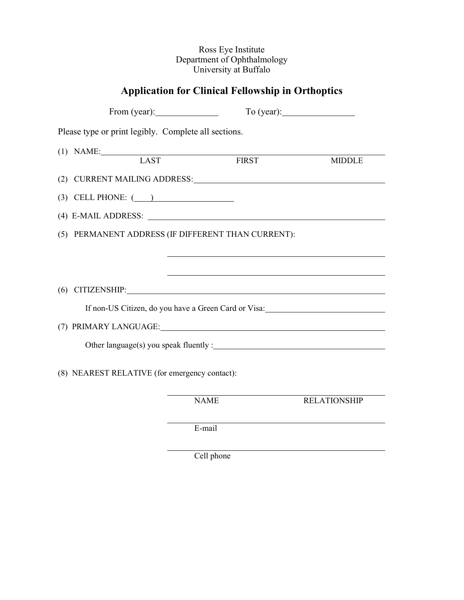## Ross Eye Institute Department of Ophthalmology University at Buffalo

## **Application for Clinical Fellowship in Orthoptics**

|                                                      |                                                                                                                                                                                                                                | To (year):                                                                       |
|------------------------------------------------------|--------------------------------------------------------------------------------------------------------------------------------------------------------------------------------------------------------------------------------|----------------------------------------------------------------------------------|
| Please type or print legibly. Complete all sections. |                                                                                                                                                                                                                                |                                                                                  |
| (1) NAME: LAST FIRST                                 |                                                                                                                                                                                                                                | <b>MIDDLE</b>                                                                    |
|                                                      |                                                                                                                                                                                                                                |                                                                                  |
| $(3)$ CELL PHONE: $($                                |                                                                                                                                                                                                                                |                                                                                  |
|                                                      |                                                                                                                                                                                                                                |                                                                                  |
|                                                      | (5) PERMANENT ADDRESS (IF DIFFERENT THAN CURRENT):                                                                                                                                                                             |                                                                                  |
|                                                      |                                                                                                                                                                                                                                | ,我们也不会有什么。""我们的人,我们也不会有什么?""我们的人,我们也不会有什么?""我们的人,我们也不会有什么?""我们的人,我们也不会有什么?""我们的人 |
|                                                      | $(6)$ CITIZENSHIP:                                                                                                                                                                                                             |                                                                                  |
|                                                      | If non-US Citizen, do you have a Green Card or Visa:                                                                                                                                                                           |                                                                                  |
|                                                      | (7) PRIMARY LANGUAGE: University of the CONSERVING CONSERVATION OF THE CONSERVATION OF THE CONSERVATION OF THE CONSERVATION OF THE CONSERVATION OF THE CONSERVATION OF THE CONSERVATION OF THE CONSERVATION OF THE CONSERVATIO |                                                                                  |
|                                                      |                                                                                                                                                                                                                                |                                                                                  |
| (8) NEAREST RELATIVE (for emergency contact):        |                                                                                                                                                                                                                                |                                                                                  |
|                                                      | <b>NAME</b>                                                                                                                                                                                                                    | <b>RELATIONSHIP</b>                                                              |

E-mail

Cell phone

l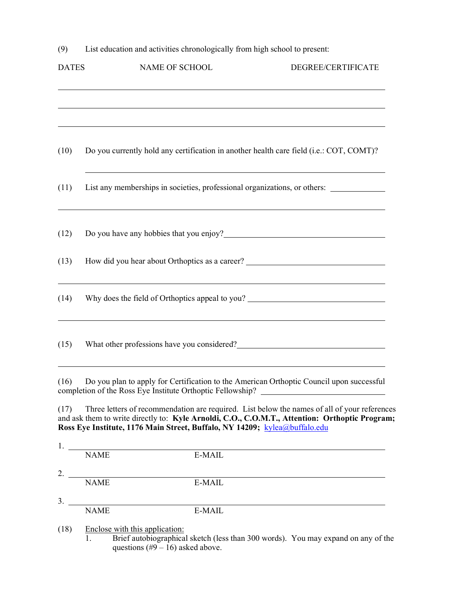(9) List education and activities chronologically from high school to present:

| <b>DATES</b> | NAME OF SCHOOL                                                                                                                                                                                                                                                               | DEGREE/CERTIFICATE |
|--------------|------------------------------------------------------------------------------------------------------------------------------------------------------------------------------------------------------------------------------------------------------------------------------|--------------------|
|              |                                                                                                                                                                                                                                                                              |                    |
| (10)         | Do you currently hold any certification in another health care field (i.e.: COT, COMT)?                                                                                                                                                                                      |                    |
| (11)         | List any memberships in societies, professional organizations, or others:                                                                                                                                                                                                    |                    |
| (12)         |                                                                                                                                                                                                                                                                              |                    |
| (13)         | How did you hear about Orthoptics as a career? _________________________________                                                                                                                                                                                             |                    |
| (14)         | Why does the field of Orthoptics appeal to you? ________________________________                                                                                                                                                                                             |                    |
| (15)         |                                                                                                                                                                                                                                                                              |                    |
| (16)         | Do you plan to apply for Certification to the American Orthoptic Council upon successful<br>completion of the Ross Eye Institute Orthoptic Fellowship? _____________________                                                                                                 |                    |
| (17)         | Three letters of recommendation are required. List below the names of all of your references<br>and ask them to write directly to: Kyle Arnoldi, C.O., C.O.M.T., Attention: Orthoptic Program;<br>Ross Eye Institute, 1176 Main Street, Buffalo, NY 14209; kylea@buffalo.edu |                    |
| $\mathbf{L}$ |                                                                                                                                                                                                                                                                              |                    |

| .  |             |        |
|----|-------------|--------|
|    | <b>NAME</b> | E-MAIL |
| 2. |             |        |
|    | <b>NAME</b> | E-MAIL |
| 3. |             |        |
|    | <b>NAME</b> | E-MAIL |
|    |             |        |

(18) Enclose with this application:

1. Brief autobiographical sketch (less than 300 words). You may expand on any of the questions  $(\text{\#9} - 16)$  asked above.